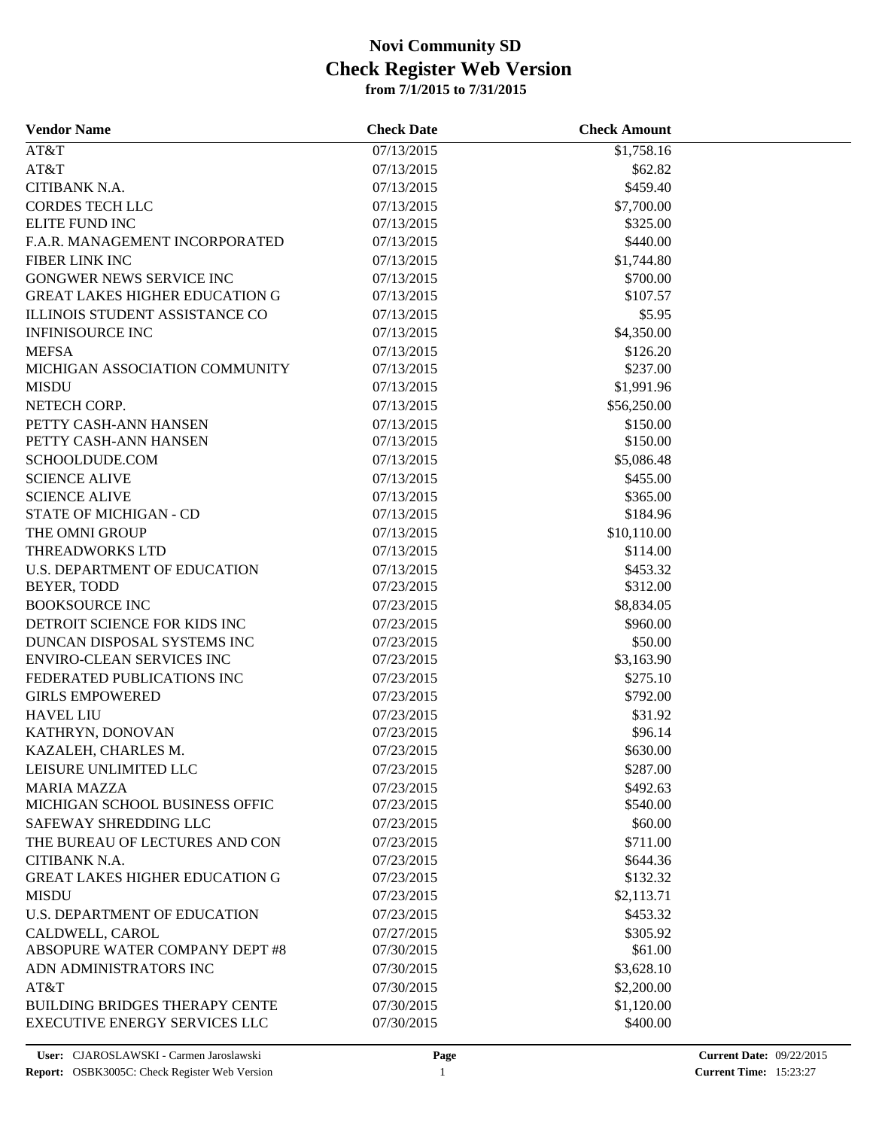### **from 7/1/2015 to 7/31/2015 Check Register Web Version Novi Community SD**

| <b>Vendor Name</b>                    | <b>Check Date</b> | <b>Check Amount</b> |  |
|---------------------------------------|-------------------|---------------------|--|
| AT&T                                  | 07/13/2015        | \$1,758.16          |  |
| AT&T                                  | 07/13/2015        | \$62.82             |  |
| CITIBANK N.A.                         | 07/13/2015        | \$459.40            |  |
| <b>CORDES TECH LLC</b>                | 07/13/2015        | \$7,700.00          |  |
| <b>ELITE FUND INC</b>                 | 07/13/2015        | \$325.00            |  |
| F.A.R. MANAGEMENT INCORPORATED        | 07/13/2015        | \$440.00            |  |
| FIBER LINK INC                        | 07/13/2015        | \$1,744.80          |  |
| GONGWER NEWS SERVICE INC              | 07/13/2015        | \$700.00            |  |
| <b>GREAT LAKES HIGHER EDUCATION G</b> | 07/13/2015        | \$107.57            |  |
| ILLINOIS STUDENT ASSISTANCE CO        | 07/13/2015        | \$5.95              |  |
| <b>INFINISOURCE INC</b>               | 07/13/2015        | \$4,350.00          |  |
| <b>MEFSA</b>                          | 07/13/2015        | \$126.20            |  |
| MICHIGAN ASSOCIATION COMMUNITY        | 07/13/2015        | \$237.00            |  |
| <b>MISDU</b>                          | 07/13/2015        | \$1,991.96          |  |
| NETECH CORP.                          | 07/13/2015        | \$56,250.00         |  |
| PETTY CASH-ANN HANSEN                 | 07/13/2015        | \$150.00            |  |
| PETTY CASH-ANN HANSEN                 | 07/13/2015        | \$150.00            |  |
| SCHOOLDUDE.COM                        | 07/13/2015        | \$5,086.48          |  |
| <b>SCIENCE ALIVE</b>                  | 07/13/2015        | \$455.00            |  |
| <b>SCIENCE ALIVE</b>                  | 07/13/2015        | \$365.00            |  |
| STATE OF MICHIGAN - CD                | 07/13/2015        | \$184.96            |  |
| THE OMNI GROUP                        | 07/13/2015        | \$10,110.00         |  |
| <b>THREADWORKS LTD</b>                | 07/13/2015        | \$114.00            |  |
| <b>U.S. DEPARTMENT OF EDUCATION</b>   | 07/13/2015        | \$453.32            |  |
| BEYER, TODD                           | 07/23/2015        | \$312.00            |  |
| <b>BOOKSOURCE INC</b>                 | 07/23/2015        | \$8,834.05          |  |
| DETROIT SCIENCE FOR KIDS INC          | 07/23/2015        | \$960.00            |  |
| DUNCAN DISPOSAL SYSTEMS INC           | 07/23/2015        | \$50.00             |  |
| ENVIRO-CLEAN SERVICES INC             | 07/23/2015        | \$3,163.90          |  |
| FEDERATED PUBLICATIONS INC            | 07/23/2015        | \$275.10            |  |
| <b>GIRLS EMPOWERED</b>                | 07/23/2015        | \$792.00            |  |
| <b>HAVEL LIU</b>                      | 07/23/2015        | \$31.92             |  |
| KATHRYN, DONOVAN                      | 07/23/2015        | \$96.14             |  |
| KAZALEH, CHARLES M.                   | 07/23/2015        | \$630.00            |  |
| LEISURE UNLIMITED LLC                 | 07/23/2015        | \$287.00            |  |
| <b>MARIA MAZZA</b>                    | 07/23/2015        | \$492.63            |  |
| MICHIGAN SCHOOL BUSINESS OFFIC        | 07/23/2015        | \$540.00            |  |
| SAFEWAY SHREDDING LLC                 | 07/23/2015        | \$60.00             |  |
| THE BUREAU OF LECTURES AND CON        | 07/23/2015        | \$711.00            |  |
| CITIBANK N.A.                         | 07/23/2015        | \$644.36            |  |
| <b>GREAT LAKES HIGHER EDUCATION G</b> | 07/23/2015        | \$132.32            |  |
| <b>MISDU</b>                          | 07/23/2015        | \$2,113.71          |  |
| U.S. DEPARTMENT OF EDUCATION          | 07/23/2015        | \$453.32            |  |
| CALDWELL, CAROL                       | 07/27/2015        | \$305.92            |  |
| ABSOPURE WATER COMPANY DEPT #8        | 07/30/2015        | \$61.00             |  |
| ADN ADMINISTRATORS INC                | 07/30/2015        | \$3,628.10          |  |
| AT&T                                  | 07/30/2015        | \$2,200.00          |  |
| <b>BUILDING BRIDGES THERAPY CENTE</b> | 07/30/2015        | \$1,120.00          |  |
| <b>EXECUTIVE ENERGY SERVICES LLC</b>  | 07/30/2015        | \$400.00            |  |
|                                       |                   |                     |  |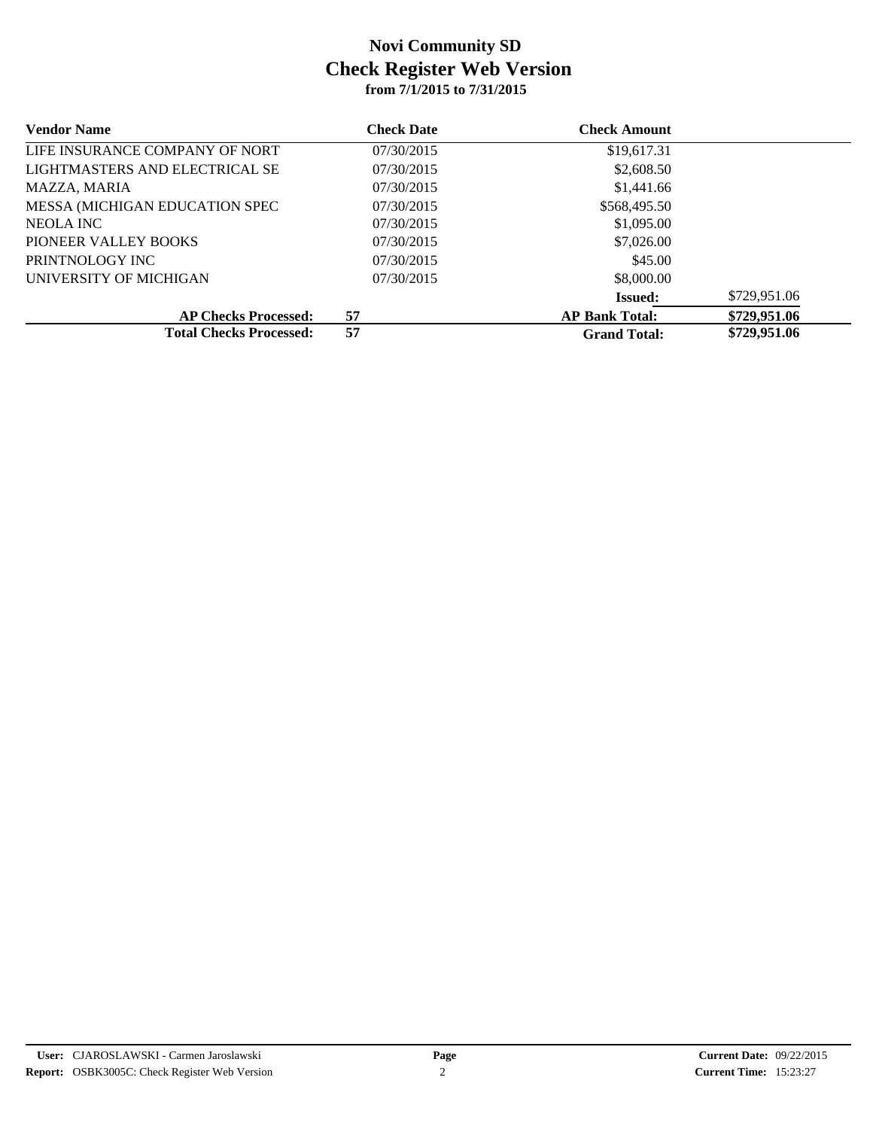## **from 7/1/2015 to 7/31/2015 Check Register Web Version Novi Community SD**

| <b>Vendor Name</b>                     | <b>Check Date</b> | <b>Check Amount</b>   |              |  |
|----------------------------------------|-------------------|-----------------------|--------------|--|
| LIFE INSURANCE COMPANY OF NORT         | 07/30/2015        | \$19,617.31           |              |  |
| LIGHTMASTERS AND ELECTRICAL SE         | 07/30/2015        | \$2,608.50            |              |  |
| MAZZA, MARIA                           | 07/30/2015        | \$1,441.66            |              |  |
| <b>MESSA (MICHIGAN EDUCATION SPEC)</b> | 07/30/2015        | \$568,495.50          |              |  |
| NEOLA INC                              | 07/30/2015        | \$1,095.00            |              |  |
| PIONEER VALLEY BOOKS                   | 07/30/2015        | \$7,026.00            |              |  |
| PRINTNOLOGY INC                        | 07/30/2015        | \$45.00               |              |  |
| UNIVERSITY OF MICHIGAN                 | 07/30/2015        | \$8,000.00            |              |  |
|                                        |                   | <b>Issued:</b>        | \$729,951.06 |  |
| <b>AP Checks Processed:</b>            | 57                | <b>AP Bank Total:</b> | \$729,951.06 |  |
| <b>Total Checks Processed:</b>         | 57                | <b>Grand Total:</b>   | \$729,951.06 |  |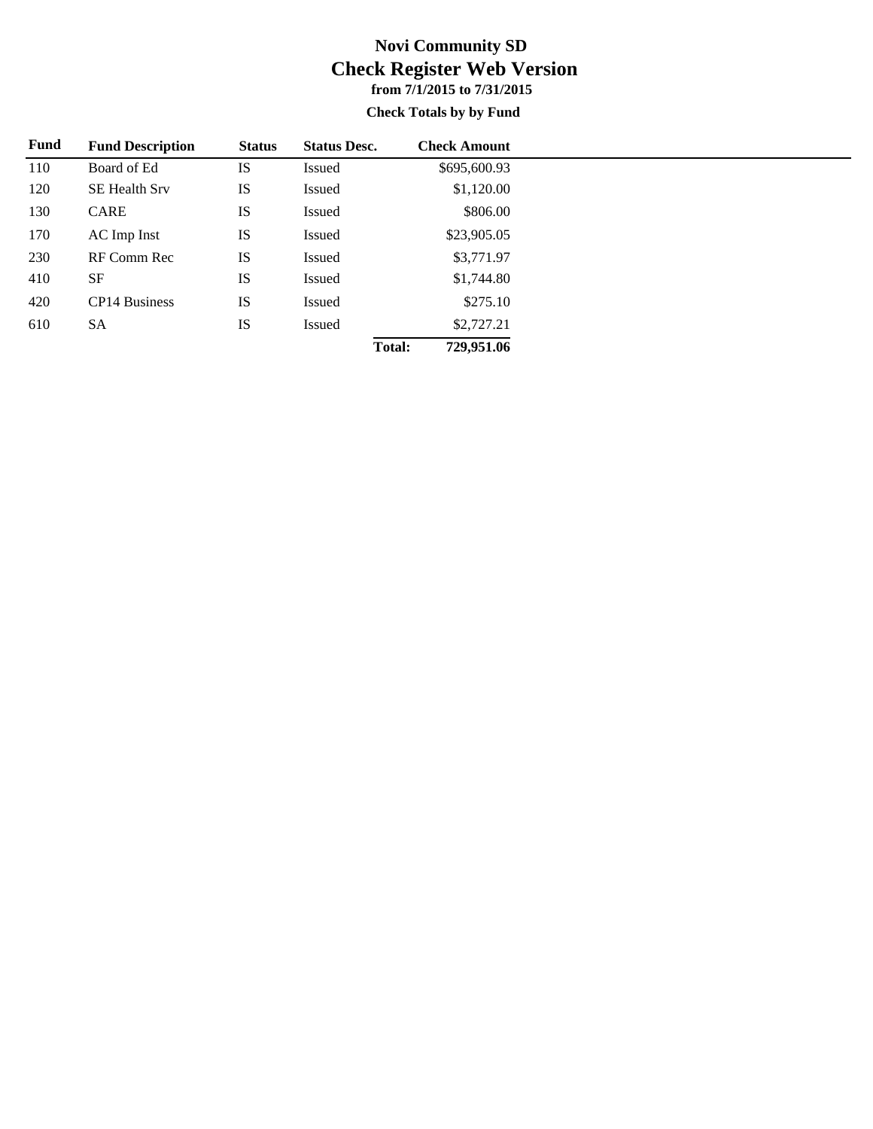## **from 7/1/2015 to 7/31/2015 Check Register Web Version Novi Community SD**

#### **Check Totals by by Fund**

| Fund | <b>Fund Description</b> | <b>Status</b> | <b>Status Desc.</b> |        | <b>Check Amount</b> |
|------|-------------------------|---------------|---------------------|--------|---------------------|
| 110  | Board of Ed             | IS            | Issued              |        | \$695,600.93        |
| 120  | <b>SE Health Srv</b>    | IS            | Issued              |        | \$1,120.00          |
| 130  | CARE                    | IS            | Issued              |        | \$806.00            |
| 170  | AC Imp Inst             | IS            | Issued              |        | \$23,905.05         |
| 230  | RF Comm Rec             | IS            | Issued              |        | \$3,771.97          |
| 410  | <b>SF</b>               | IS            | Issued              |        | \$1,744.80          |
| 420  | CP14 Business           | IS            | Issued              |        | \$275.10            |
| 610  | <b>SA</b>               | IS            | Issued              |        | \$2,727.21          |
|      |                         |               |                     | Total: | 729,951.06          |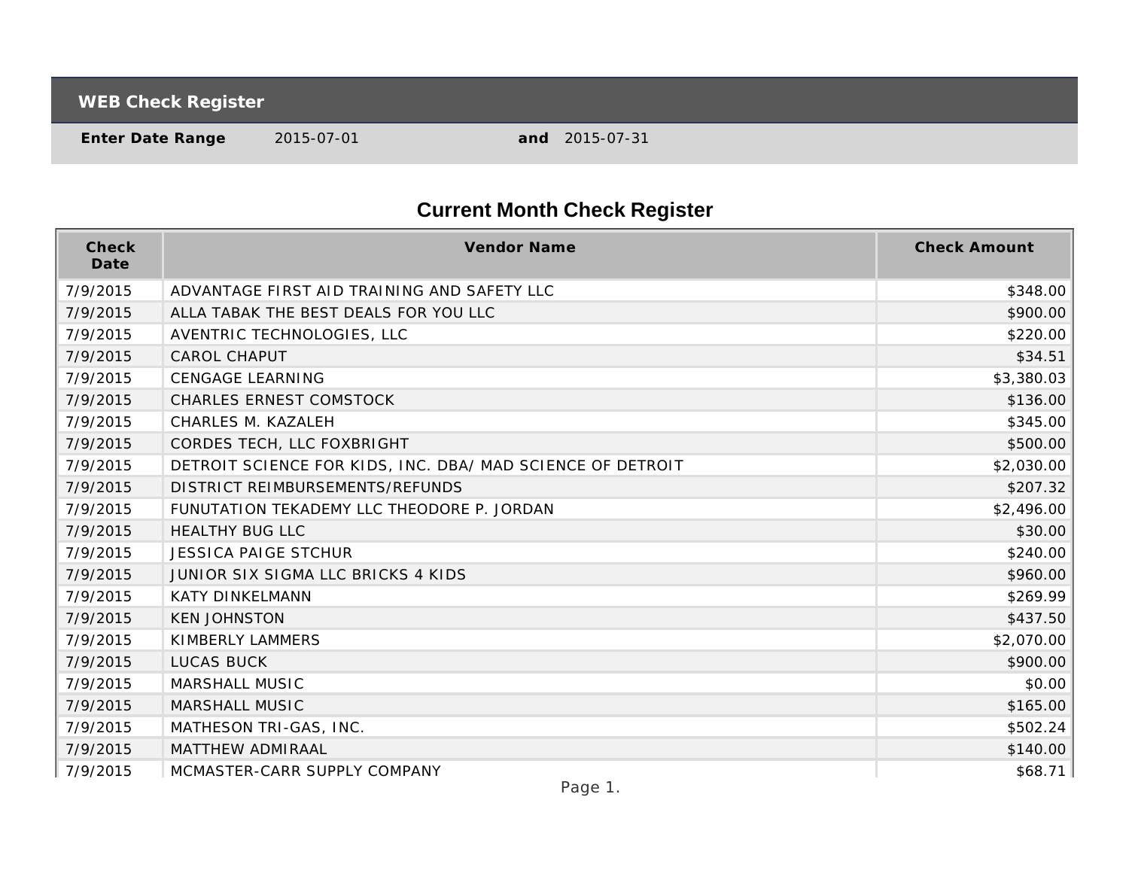**WEB Check Register**

**Enter Date Range** 2015-07-01 **and** 2015-07-31

# **Current Month Check Register**

| Check<br>Date | <b>Vendor Name</b>                                         | <b>Check Amount</b> |
|---------------|------------------------------------------------------------|---------------------|
| 7/9/2015      | ADVANTAGE FIRST AID TRAINING AND SAFETY LLC                | \$348.00            |
| 7/9/2015      | ALLA TABAK THE BEST DEALS FOR YOU LLC                      | \$900.00            |
| 7/9/2015      | AVENTRIC TECHNOLOGIES, LLC                                 | \$220.00            |
| 7/9/2015      | <b>CAROL CHAPUT</b>                                        | \$34.51             |
| 7/9/2015      | <b>CENGAGE LEARNING</b>                                    | \$3,380.03          |
| 7/9/2015      | <b>CHARLES ERNEST COMSTOCK</b>                             | \$136.00            |
| 7/9/2015      | CHARLES M. KAZALEH                                         | \$345.00            |
| 7/9/2015      | CORDES TECH, LLC FOXBRIGHT                                 | \$500.00            |
| 7/9/2015      | DETROIT SCIENCE FOR KIDS, INC. DBA/ MAD SCIENCE OF DETROIT | \$2,030.00          |
| 7/9/2015      | DISTRICT REIMBURSEMENTS/REFUNDS                            | \$207.32            |
| 7/9/2015      | FUNUTATION TEKADEMY LLC THEODORE P. JORDAN                 | \$2,496.00          |
| 7/9/2015      | <b>HEALTHY BUG LLC</b>                                     | \$30.00             |
| 7/9/2015      | <b>JESSICA PAIGE STCHUR</b>                                | \$240.00            |
| 7/9/2015      | JUNIOR SIX SIGMA LLC BRICKS 4 KIDS                         | \$960.00            |
| 7/9/2015      | <b>KATY DINKELMANN</b>                                     | \$269.99            |
| 7/9/2015      | <b>KEN JOHNSTON</b>                                        | \$437.50            |
| 7/9/2015      | KIMBERLY LAMMERS                                           | \$2,070.00          |
| 7/9/2015      | <b>LUCAS BUCK</b>                                          | \$900.00            |
| 7/9/2015      | MARSHALL MUSIC                                             | \$0.00              |
| 7/9/2015      | MARSHALL MUSIC                                             | \$165.00            |
| 7/9/2015      | MATHESON TRI-GAS, INC.                                     | \$502.24            |
| 7/9/2015      | MATTHEW ADMIRAAL                                           | \$140.00            |
| 7/9/2015      | MCMASTER-CARR SUPPLY COMPANY                               | \$68.71             |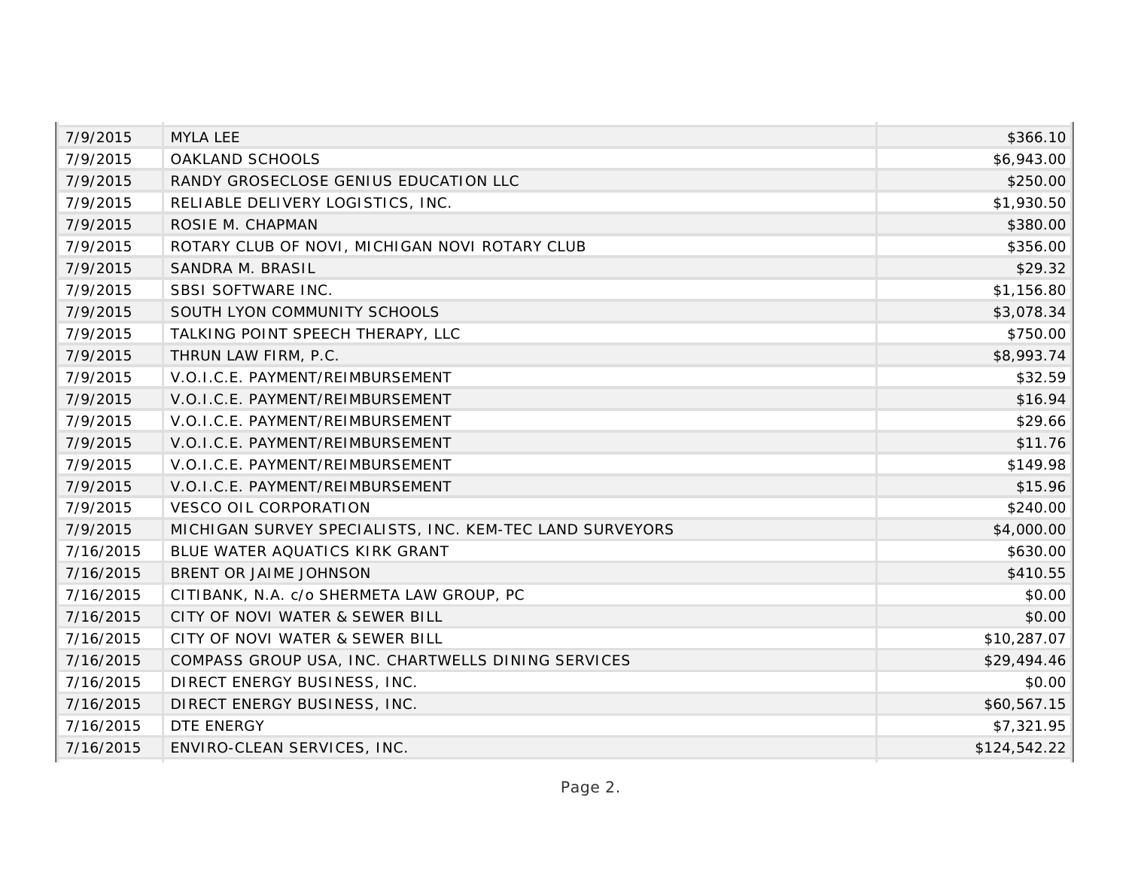| 7/9/2015  | <b>MYLA LEE</b>                                          | \$366.10     |
|-----------|----------------------------------------------------------|--------------|
| 7/9/2015  | OAKLAND SCHOOLS                                          | \$6,943.00   |
| 7/9/2015  | RANDY GROSECLOSE GENIUS EDUCATION LLC                    | \$250.00     |
| 7/9/2015  | RELIABLE DELIVERY LOGISTICS, INC.                        | \$1,930.50   |
| 7/9/2015  | ROSIE M. CHAPMAN                                         | \$380.00     |
| 7/9/2015  | ROTARY CLUB OF NOVI, MICHIGAN NOVI ROTARY CLUB           | \$356.00     |
| 7/9/2015  | SANDRA M. BRASIL                                         | \$29.32      |
| 7/9/2015  | SBSI SOFTWARE INC.                                       | \$1,156.80   |
| 7/9/2015  | SOUTH LYON COMMUNITY SCHOOLS                             | \$3,078.34   |
| 7/9/2015  | TALKING POINT SPEECH THERAPY, LLC                        | \$750.00     |
| 7/9/2015  | THRUN LAW FIRM, P.C.                                     | \$8,993.74   |
| 7/9/2015  | V.O.I.C.E. PAYMENT/REIMBURSEMENT                         | \$32.59      |
| 7/9/2015  | V.O.I.C.E. PAYMENT/REIMBURSEMENT                         | \$16.94      |
| 7/9/2015  | V.O.I.C.E. PAYMENT/REIMBURSEMENT                         | \$29.66      |
| 7/9/2015  | V.O.I.C.E. PAYMENT/REIMBURSEMENT                         | \$11.76      |
| 7/9/2015  | V.O.I.C.E. PAYMENT/REIMBURSEMENT                         | \$149.98     |
| 7/9/2015  | V.O.I.C.E. PAYMENT/REIMBURSEMENT                         | \$15.96      |
| 7/9/2015  | <b>VESCO OIL CORPORATION</b>                             | \$240.00     |
| 7/9/2015  | MICHIGAN SURVEY SPECIALISTS, INC. KEM-TEC LAND SURVEYORS | \$4,000.00   |
| 7/16/2015 | BLUE WATER AQUATICS KIRK GRANT                           | \$630.00     |
| 7/16/2015 | BRENT OR JAIME JOHNSON                                   | \$410.55     |
| 7/16/2015 | CITIBANK, N.A. c/o SHERMETA LAW GROUP, PC                | \$0.00       |
| 7/16/2015 | CITY OF NOVI WATER & SEWER BILL                          | \$0.00       |
| 7/16/2015 | CITY OF NOVI WATER & SEWER BILL                          | \$10,287.07  |
| 7/16/2015 | COMPASS GROUP USA, INC. CHARTWELLS DINING SERVICES       | \$29,494.46  |
| 7/16/2015 | DIRECT ENERGY BUSINESS, INC.                             | \$0.00       |
| 7/16/2015 | DIRECT ENERGY BUSINESS, INC.                             | \$60,567.15  |
| 7/16/2015 | <b>DTE ENERGY</b>                                        | \$7,321.95   |
| 7/16/2015 | ENVIRO-CLEAN SERVICES, INC.                              | \$124,542.22 |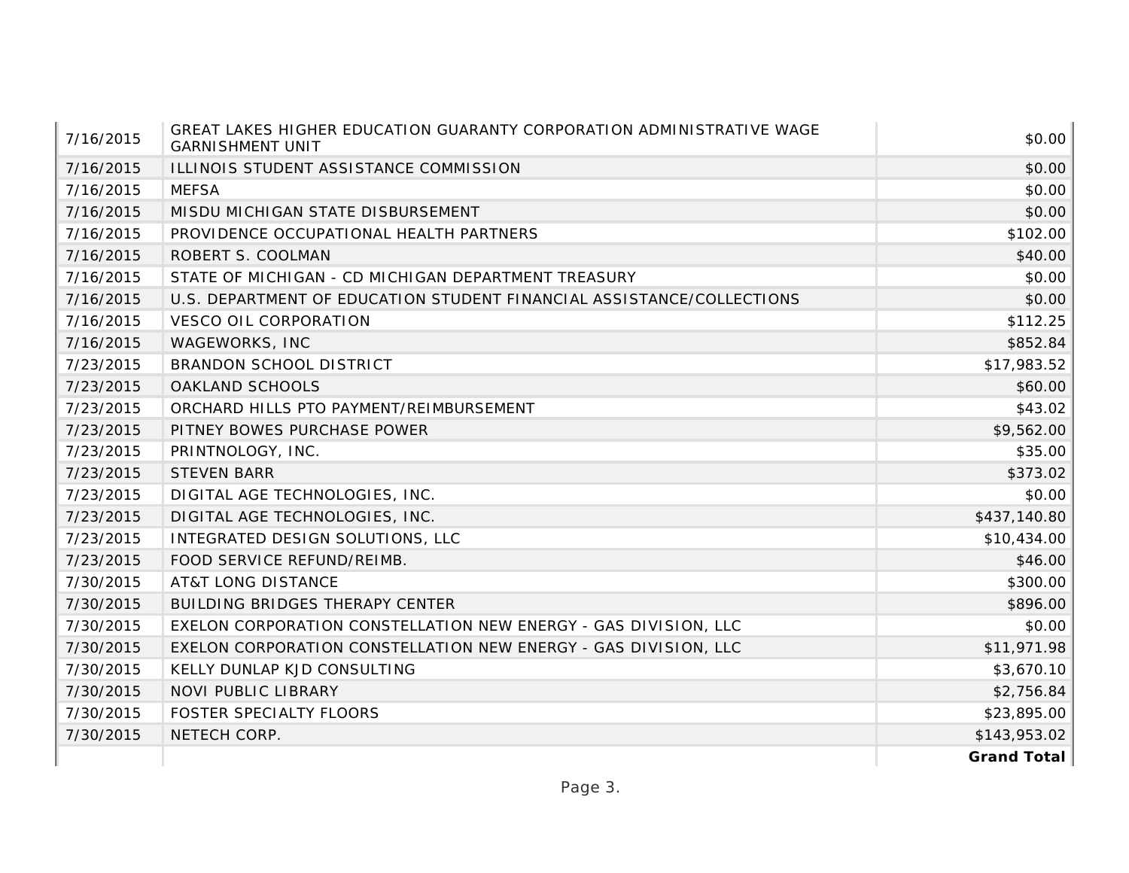| 7/16/2015 | GREAT LAKES HIGHER EDUCATION GUARANTY CORPORATION ADMINISTRATIVE WAGE<br><b>GARNISHMENT UNIT</b> | \$0.00       |
|-----------|--------------------------------------------------------------------------------------------------|--------------|
| 7/16/2015 | ILLINOIS STUDENT ASSISTANCE COMMISSION                                                           | \$0.00       |
| 7/16/2015 | <b>MEFSA</b>                                                                                     | \$0.00       |
| 7/16/2015 | MISDU MICHIGAN STATE DISBURSEMENT                                                                | \$0.00       |
| 7/16/2015 | PROVIDENCE OCCUPATIONAL HEALTH PARTNERS                                                          | \$102.00     |
| 7/16/2015 | ROBERT S. COOLMAN                                                                                | \$40.00      |
| 7/16/2015 | STATE OF MICHIGAN - CD MICHIGAN DEPARTMENT TREASURY                                              | \$0.00       |
| 7/16/2015 | U.S. DEPARTMENT OF EDUCATION STUDENT FINANCIAL ASSISTANCE/COLLECTIONS                            | \$0.00       |
| 7/16/2015 | <b>VESCO OIL CORPORATION</b>                                                                     | \$112.25     |
| 7/16/2015 | WAGEWORKS, INC                                                                                   | \$852.84     |
| 7/23/2015 | BRANDON SCHOOL DISTRICT                                                                          | \$17,983.52  |
| 7/23/2015 | OAKLAND SCHOOLS                                                                                  | \$60.00      |
| 7/23/2015 | ORCHARD HILLS PTO PAYMENT/REIMBURSEMENT                                                          | \$43.02      |
| 7/23/2015 | PITNEY BOWES PURCHASE POWER                                                                      | \$9,562.00   |
| 7/23/2015 | PRINTNOLOGY, INC.                                                                                | \$35.00      |
| 7/23/2015 | <b>STEVEN BARR</b>                                                                               | \$373.02     |
| 7/23/2015 | DIGITAL AGE TECHNOLOGIES, INC.                                                                   | \$0.00       |
| 7/23/2015 | DIGITAL AGE TECHNOLOGIES, INC.                                                                   | \$437,140.80 |
| 7/23/2015 | INTEGRATED DESIGN SOLUTIONS, LLC                                                                 | \$10,434.00  |
| 7/23/2015 | FOOD SERVICE REFUND/REIMB.                                                                       | \$46.00      |
| 7/30/2015 | <b>AT&amp;T LONG DISTANCE</b>                                                                    | \$300.00     |
| 7/30/2015 | BUILDING BRIDGES THERAPY CENTER                                                                  | \$896.00     |
| 7/30/2015 | EXELON CORPORATION CONSTELLATION NEW ENERGY - GAS DIVISION, LLC                                  | \$0.00       |
| 7/30/2015 | EXELON CORPORATION CONSTELLATION NEW ENERGY - GAS DIVISION, LLC                                  | \$11,971.98  |
| 7/30/2015 | KELLY DUNLAP KJD CONSULTING                                                                      | \$3,670.10   |
| 7/30/2015 | NOVI PUBLIC LIBRARY                                                                              | \$2,756.84   |
| 7/30/2015 | FOSTER SPECIALTY FLOORS                                                                          | \$23,895.00  |
| 7/30/2015 | NETECH CORP.                                                                                     | \$143,953.02 |
|           |                                                                                                  | Grand Total  |